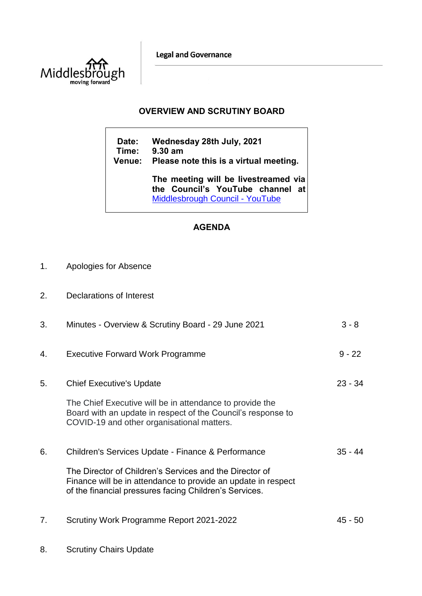**Legal and Governance** 



## **OVERVIEW AND SCRUTINY BOARD**

**Date: Wednesday 28th July, 2021 Time: 9.30 am Venue: Please note this is a virtual meeting. The meeting will be livestreamed via the Council's YouTube channel at** 

[Middlesbrough Council -](https://www.youtube.com/user/middlesbroughcouncil) YouTube

## **AGENDA**

- 1. Apologies for Absence
- 2. Declarations of Interest

| 3. | Minutes - Overview & Scrutiny Board - 29 June 2021                                                                                                                                 | $3 - 8$   |
|----|------------------------------------------------------------------------------------------------------------------------------------------------------------------------------------|-----------|
| 4. | <b>Executive Forward Work Programme</b>                                                                                                                                            | $9 - 22$  |
| 5. | <b>Chief Executive's Update</b>                                                                                                                                                    | $23 - 34$ |
|    | The Chief Executive will be in attendance to provide the<br>Board with an update in respect of the Council's response to<br>COVID-19 and other organisational matters.             |           |
| 6. | Children's Services Update - Finance & Performance                                                                                                                                 | $35 - 44$ |
|    | The Director of Children's Services and the Director of<br>Finance will be in attendance to provide an update in respect<br>of the financial pressures facing Children's Services. |           |
| 7. | Scrutiny Work Programme Report 2021-2022                                                                                                                                           | $45 - 50$ |

8. Scrutiny Chairs Update